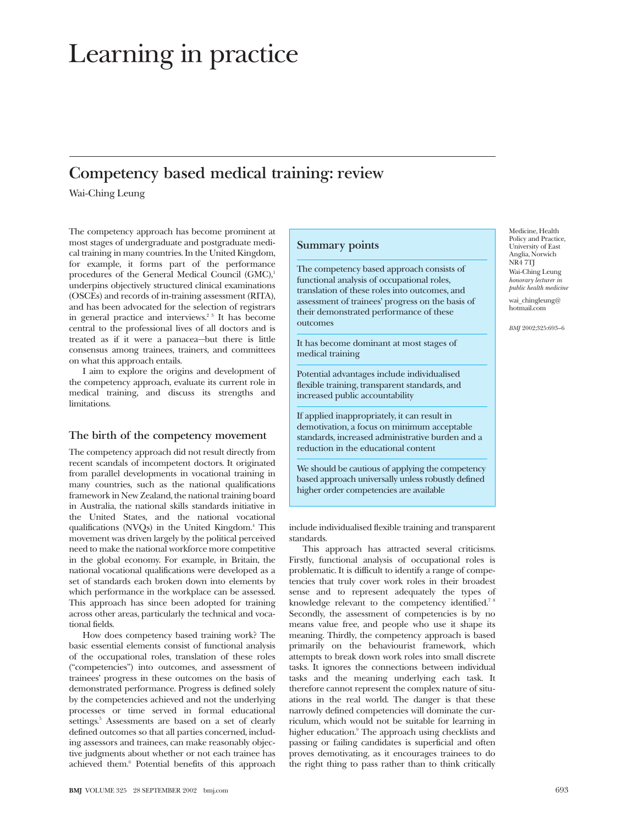# Learning in practice

## **Competency based medical training: review**

Wai-Ching Leung

The competency approach has become prominent at most stages of undergraduate and postgraduate medical training in many countries. In the United Kingdom, for example, it forms part of the performance procedures of the General Medical Council (GMC),<sup>1</sup> underpins objectively structured clinical examinations (OSCEs) and records of in-training assessment (RITA), and has been advocated for the selection of registrars in general practice and interviews. $2^3$  It has become central to the professional lives of all doctors and is treated as if it were a panacea—but there is little consensus among trainees, trainers, and committees on what this approach entails.

I aim to explore the origins and development of the competency approach, evaluate its current role in medical training, and discuss its strengths and limitations.

#### **The birth of the competency movement**

The competency approach did not result directly from recent scandals of incompetent doctors. It originated from parallel developments in vocational training in many countries, such as the national qualifications framework in New Zealand, the national training board in Australia, the national skills standards initiative in the United States, and the national vocational qualifications (NVQs) in the United Kingdom.4 This movement was driven largely by the political perceived need to make the national workforce more competitive in the global economy. For example, in Britain, the national vocational qualifications were developed as a set of standards each broken down into elements by which performance in the workplace can be assessed. This approach has since been adopted for training across other areas, particularly the technical and vocational fields.

How does competency based training work? The basic essential elements consist of functional analysis of the occupational roles, translation of these roles ("competencies") into outcomes, and assessment of trainees' progress in these outcomes on the basis of demonstrated performance. Progress is defined solely by the competencies achieved and not the underlying processes or time served in formal educational settings.<sup>5</sup> Assessments are based on a set of clearly defined outcomes so that all parties concerned, including assessors and trainees, can make reasonably objective judgments about whether or not each trainee has achieved them.6 Potential benefits of this approach

#### **Summary points**

The competency based approach consists of functional analysis of occupational roles, translation of these roles into outcomes, and assessment of trainees' progress on the basis of their demonstrated performance of these outcomes

It has become dominant at most stages of medical training

Potential advantages include individualised flexible training, transparent standards, and increased public accountability

If applied inappropriately, it can result in demotivation, a focus on minimum acceptable standards, increased administrative burden and a reduction in the educational content

We should be cautious of applying the competency based approach universally unless robustly defined higher order competencies are available

include individualised flexible training and transparent standards.

This approach has attracted several criticisms. Firstly, functional analysis of occupational roles is problematic. It is difficult to identify a range of competencies that truly cover work roles in their broadest sense and to represent adequately the types of knowledge relevant to the competency identified.<sup>78</sup> Secondly, the assessment of competencies is by no means value free, and people who use it shape its meaning. Thirdly, the competency approach is based primarily on the behaviourist framework, which attempts to break down work roles into small discrete tasks. It ignores the connections between individual tasks and the meaning underlying each task. It therefore cannot represent the complex nature of situations in the real world. The danger is that these narrowly defined competencies will dominate the curriculum, which would not be suitable for learning in higher education.<sup>9</sup> The approach using checklists and passing or failing candidates is superficial and often proves demotivating, as it encourages trainees to do the right thing to pass rather than to think critically

Medicine, Health Policy and Practice, University of East Anglia, Norwich NR4 7TJ Wai-Ching Leung *honorary lecturer in public health medicine*

wai chingleung@ hotmail.com

*BMJ* 2002;325:693–6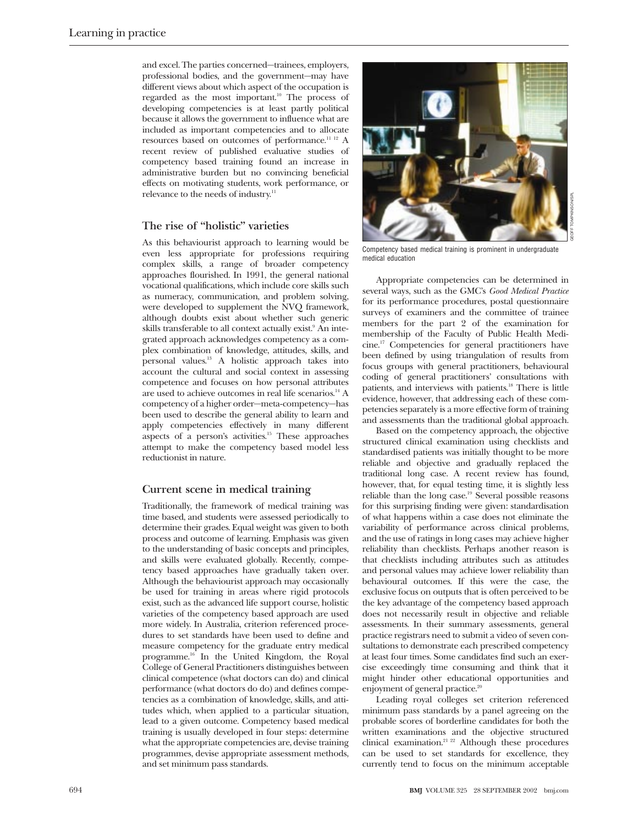and excel. The parties concerned—trainees, employers, professional bodies, and the government—may have different views about which aspect of the occupation is regarded as the most important.<sup>10</sup> The process of developing competencies is at least partly political because it allows the government to influence what are included as important competencies and to allocate resources based on outcomes of performance.11 12 A recent review of published evaluative studies of competency based training found an increase in administrative burden but no convincing beneficial effects on motivating students, work performance, or relevance to the needs of industry.<sup>11</sup>

#### **The rise of "holistic" varieties**

As this behaviourist approach to learning would be even less appropriate for professions requiring complex skills, a range of broader competency approaches flourished. In 1991, the general national vocational qualifications, which include core skills such as numeracy, communication, and problem solving, were developed to supplement the NVQ framework, although doubts exist about whether such generic skills transferable to all context actually exist.<sup>9</sup> An integrated approach acknowledges competency as a complex combination of knowledge, attitudes, skills, and personal values.13 A holistic approach takes into account the cultural and social context in assessing competence and focuses on how personal attributes are used to achieve outcomes in real life scenarios.14 A competency of a higher order—meta-competency—has been used to describe the general ability to learn and apply competencies effectively in many different aspects of a person's activities.15 These approaches attempt to make the competency based model less reductionist in nature.

#### **Current scene in medical training**

Traditionally, the framework of medical training was time based, and students were assessed periodically to determine their grades. Equal weight was given to both process and outcome of learning. Emphasis was given to the understanding of basic concepts and principles, and skills were evaluated globally. Recently, competency based approaches have gradually taken over. Although the behaviourist approach may occasionally be used for training in areas where rigid protocols exist, such as the advanced life support course, holistic varieties of the competency based approach are used more widely. In Australia, criterion referenced procedures to set standards have been used to define and measure competency for the graduate entry medical programme.16 In the United Kingdom, the Royal College of General Practitioners distinguishes between clinical competence (what doctors can do) and clinical performance (what doctors do do) and defines competencies as a combination of knowledge, skills, and attitudes which, when applied to a particular situation, lead to a given outcome. Competency based medical training is usually developed in four steps: determine what the appropriate competencies are, devise training programmes, devise appropriate assessment methods, and set minimum pass standards.



Competency based medical training is prominent in undergraduate medical education

Appropriate competencies can be determined in several ways, such as the GMC's *Good Medical Practice* for its performance procedures, postal questionnaire surveys of examiners and the committee of trainee members for the part 2 of the examination for membership of the Faculty of Public Health Medicine.17 Competencies for general practitioners have been defined by using triangulation of results from focus groups with general practitioners, behavioural coding of general practitioners' consultations with patients, and interviews with patients.18 There is little evidence, however, that addressing each of these competencies separately is a more effective form of training and assessments than the traditional global approach.

Based on the competency approach, the objective structured clinical examination using checklists and standardised patients was initially thought to be more reliable and objective and gradually replaced the traditional long case. A recent review has found, however, that, for equal testing time, it is slightly less reliable than the long case.<sup>19</sup> Several possible reasons for this surprising finding were given: standardisation of what happens within a case does not eliminate the variability of performance across clinical problems, and the use of ratings in long cases may achieve higher reliability than checklists. Perhaps another reason is that checklists including attributes such as attitudes and personal values may achieve lower reliability than behavioural outcomes. If this were the case, the exclusive focus on outputs that is often perceived to be the key advantage of the competency based approach does not necessarily result in objective and reliable assessments. In their summary assessments, general practice registrars need to submit a video of seven consultations to demonstrate each prescribed competency at least four times. Some candidates find such an exercise exceedingly time consuming and think that it might hinder other educational opportunities and enjoyment of general practice.<sup>20</sup>

Leading royal colleges set criterion referenced minimum pass standards by a panel agreeing on the probable scores of borderline candidates for both the written examinations and the objective structured clinical examination.<sup>21 22</sup> Although these procedures can be used to set standards for excellence, they currently tend to focus on the minimum acceptable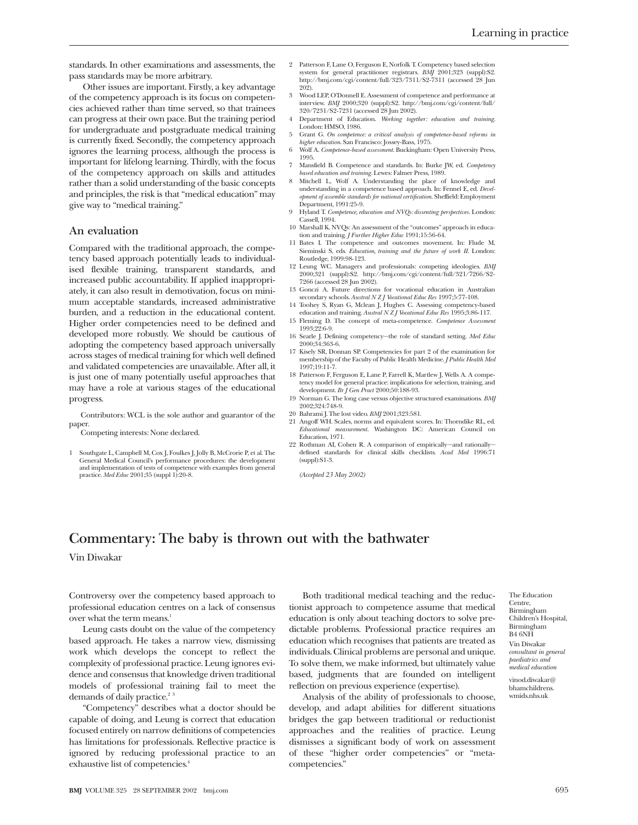standards. In other examinations and assessments, the pass standards may be more arbitrary.

Other issues are important. Firstly, a key advantage of the competency approach is its focus on competencies achieved rather than time served, so that trainees can progress at their own pace. But the training period for undergraduate and postgraduate medical training is currently fixed. Secondly, the competency approach ignores the learning process, although the process is important for lifelong learning. Thirdly, with the focus of the competency approach on skills and attitudes rather than a solid understanding of the basic concepts and principles, the risk is that "medical education" may give way to "medical training."

#### **An evaluation**

Compared with the traditional approach, the competency based approach potentially leads to individualised flexible training, transparent standards, and increased public accountability. If applied inappropriately, it can also result in demotivation, focus on minimum acceptable standards, increased administrative burden, and a reduction in the educational content. Higher order competencies need to be defined and developed more robustly. We should be cautious of adopting the competency based approach universally across stages of medical training for which well defined and validated competencies are unavailable. After all, it is just one of many potentially useful approaches that may have a role at various stages of the educational progress.

Contributors: WCL is the sole author and guarantor of the paper.

Competing interests: None declared.

1 Southgate L, Campbell M, Cox J, Foulkes J, Jolly B, McCrorie P, et al. The General Medical Council's performance procedures: the development and implementation of tests of competence with examples from general practice. *Med Educ* 2001;35 (suppl 1):20-8.

- 2 Patterson F, Lane O, Ferguson E, Norfolk T. Competency based selection system for general practitioner registrars. *BMJ* 2001;323 (suppl):S2. http://bmj.com/cgi/content/full/323/7311/S2-7311 (accessed 28 Jun 202).
- 3 Wood LEP, O'Donnell E. Assessment of competence and performance at interview. *BMJ* 2000;320 (suppl):S2. http://bmj.com/cgi/content/full/ 320/7231/S2-7231 (accessed 28 Jun 2002).
- 4 Department of Education. *Working together: education and training*. London: HMSO, 1986. 5 Grant G. *On competence: a critical analysis of competence-based reforms in*
- *higher education*. San Francisco: Jossey-Bass, 1975. 6 Wolf A. *Competence-based assessment*. Buckingham: Open University Press,
- 1995. 7 Mansfield B. Competence and standards. In: Burke JW, ed. *Competency*
- *based education and training*. Lewes: Falmer Press, 1989. 8 Mitchell L, Wolf A. Understanding the place of knowledge and
- understanding in a competence based approach. In: Fennel E, ed. *Development of assemble standards for national certification*. Sheffield: Employment Department, 1991:25-9.
- 9 Hyland T. *Competence, education and NVQs: dissenting perspectives*. London: Cassell, 1994.
- 10 Marshall K. NVQs: An assessment of the "outcomes" approach in education and training. *J Further Higher Educ* 1991;15:56-64.
- 11 Bates I. The competence and outcomes movement. In: Flude M, Sieminski S, eds. *Education, training and the future of work II*. London: Routledge, 1999:98-123.
- 12 Leung WC. Managers and professionals: competing ideologies. *BMJ* 2000;321 (suppl):S2. http://bmj.com/cgi/content/full/321/7266/S2- 7266 (accessed 28 Jun 2002).
- 13 Gonczi A. Future directions for vocational education in Australian secondary schools. *Austral N Z J Vocational Educ Res* 1997;5:77-108.
- 14 Toohey S, Ryan G, Mclean J, Hughes C. Assessing competency-based education and training. *Austral N Z J Vocational Educ Res* 1995;3:86-117.
- 15 Fleming D. The concept of meta-competence. *Competence Assessment* 1993;22:6-9. 16 Searle J. Defining competency—the role of standard setting. *Med Educ*
- 2000;34:363-6. 17 Kisely SR, Donnan SP. Competencies for part 2 of the examination for
- membership of the Faculty of Public Health Medicine. *J Public Health Med* 1997;19:11-7.
- 18 Patterson F, Ferguson E, Lane P, Farrell K, Martlew J, Wells A. A competency model for general practice: implications for selection, training, and development. *Br J Gen Pract* 2000;50:188-93.
- 19 Norman G. The long case versus objective structured examinations. *BMJ* 2002;324:748-9.
- 20 Bahrami J. The lost video. *BMJ* 2001;323:581.
- 21 Angoff WH. Scales, norms and equivalent scores. In: Thorndike RL, ed. *Educational measurement*. Washington DC: American Council on Education, 1971.
- 22 Rothman AI, Cohen R. A comparison of empirically—and rationally defined standards for clinical skills checklists. *Acad Med* 1996:71 (suppl):S1-3.

*(Accepted 23 May 2002)*

### **Commentary: The baby is thrown out with the bathwater**

#### Vin Diwakar

Controversy over the competency based approach to professional education centres on a lack of consensus over what the term means.<sup>1</sup>

Leung casts doubt on the value of the competency based approach. He takes a narrow view, dismissing work which develops the concept to reflect the complexity of professional practice. Leung ignores evidence and consensus that knowledge driven traditional models of professional training fail to meet the demands of daily practice.<sup>23</sup>

"Competency" describes what a doctor should be capable of doing, and Leung is correct that education focused entirely on narrow definitions of competencies has limitations for professionals. Reflective practice is ignored by reducing professional practice to an exhaustive list of competencies.<sup>4</sup>

Both traditional medical teaching and the reductionist approach to competence assume that medical education is only about teaching doctors to solve predictable problems. Professional practice requires an education which recognises that patients are treated as individuals. Clinical problems are personal and unique. To solve them, we make informed, but ultimately value based, judgments that are founded on intelligent reflection on previous experience (expertise).

Analysis of the ability of professionals to choose, develop, and adapt abilities for different situations bridges the gap between traditional or reductionist approaches and the realities of practice. Leung dismisses a significant body of work on assessment of these "higher order competencies" or "metacompetencies."

The Education

vinod.diwakar@ bhamchildrens. wmids.nhs.uk